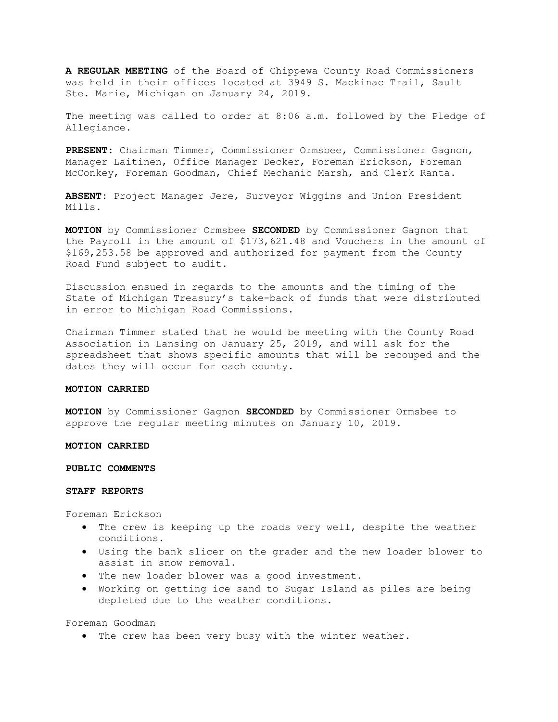A REGULAR MEETING of the Board of Chippewa County Road Commissioners was held in their offices located at 3949 S. Mackinac Trail, Sault Ste. Marie, Michigan on January 24, 2019.

The meeting was called to order at 8:06 a.m. followed by the Pledge of Allegiance.

PRESENT: Chairman Timmer, Commissioner Ormsbee, Commissioner Gagnon, Manager Laitinen, Office Manager Decker, Foreman Erickson, Foreman McConkey, Foreman Goodman, Chief Mechanic Marsh, and Clerk Ranta.

ABSENT: Project Manager Jere, Surveyor Wiggins and Union President Mills.

MOTION by Commissioner Ormsbee SECONDED by Commissioner Gagnon that the Payroll in the amount of \$173,621.48 and Vouchers in the amount of \$169,253.58 be approved and authorized for payment from the County Road Fund subject to audit.

Discussion ensued in regards to the amounts and the timing of the State of Michigan Treasury's take-back of funds that were distributed in error to Michigan Road Commissions.

Chairman Timmer stated that he would be meeting with the County Road Association in Lansing on January 25, 2019, and will ask for the spreadsheet that shows specific amounts that will be recouped and the dates they will occur for each county.

# MOTION CARRIED

MOTION by Commissioner Gagnon SECONDED by Commissioner Ormsbee to approve the regular meeting minutes on January 10, 2019.

### MOTION CARRIED

#### PUBLIC COMMENTS

### STAFF REPORTS

Foreman Erickson

- The crew is keeping up the roads very well, despite the weather conditions.
- Using the bank slicer on the grader and the new loader blower to assist in snow removal.
- The new loader blower was a good investment.
- Working on getting ice sand to Sugar Island as piles are being depleted due to the weather conditions.

Foreman Goodman

The crew has been very busy with the winter weather.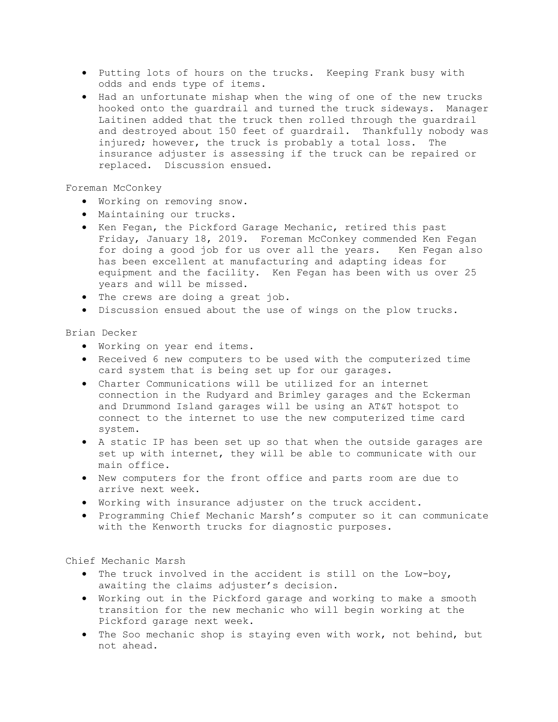- Putting lots of hours on the trucks. Keeping Frank busy with odds and ends type of items.
- Had an unfortunate mishap when the wing of one of the new trucks hooked onto the guardrail and turned the truck sideways. Manager Laitinen added that the truck then rolled through the guardrail and destroyed about 150 feet of guardrail. Thankfully nobody was injured; however, the truck is probably a total loss. The insurance adjuster is assessing if the truck can be repaired or replaced. Discussion ensued.

# Foreman McConkey

- Working on removing snow.
- Maintaining our trucks.
- Ken Fegan, the Pickford Garage Mechanic, retired this past Friday, January 18, 2019. Foreman McConkey commended Ken Fegan for doing a good job for us over all the years. Ken Fegan also has been excellent at manufacturing and adapting ideas for equipment and the facility. Ken Fegan has been with us over 25 years and will be missed.
- The crews are doing a great job.
- Discussion ensued about the use of wings on the plow trucks.

# Brian Decker

- Working on year end items.
- Received 6 new computers to be used with the computerized time card system that is being set up for our garages.
- Charter Communications will be utilized for an internet connection in the Rudyard and Brimley garages and the Eckerman and Drummond Island garages will be using an AT&T hotspot to connect to the internet to use the new computerized time card system.
- A static IP has been set up so that when the outside garages are set up with internet, they will be able to communicate with our main office.
- New computers for the front office and parts room are due to arrive next week.
- Working with insurance adjuster on the truck accident.
- Programming Chief Mechanic Marsh's computer so it can communicate with the Kenworth trucks for diagnostic purposes.

# Chief Mechanic Marsh

- The truck involved in the accident is still on the Low-boy, awaiting the claims adjuster's decision.
- Working out in the Pickford garage and working to make a smooth transition for the new mechanic who will begin working at the Pickford garage next week.
- The Soo mechanic shop is staying even with work, not behind, but not ahead.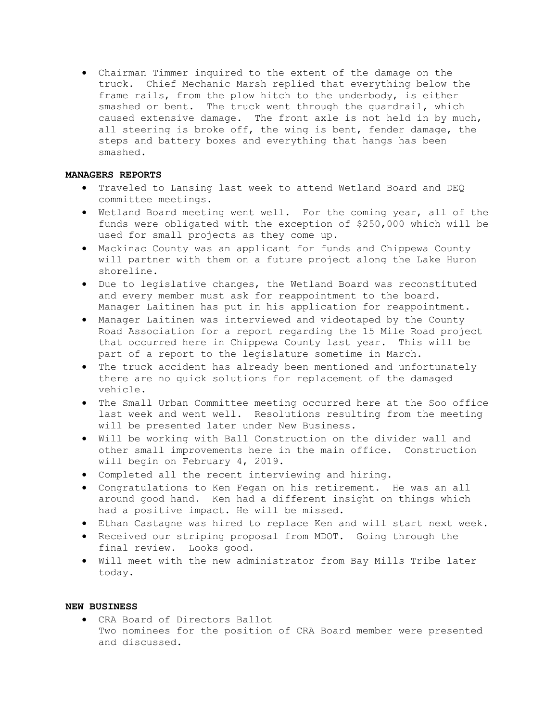Chairman Timmer inquired to the extent of the damage on the truck. Chief Mechanic Marsh replied that everything below the frame rails, from the plow hitch to the underbody, is either smashed or bent. The truck went through the guardrail, which caused extensive damage. The front axle is not held in by much, all steering is broke off, the wing is bent, fender damage, the steps and battery boxes and everything that hangs has been smashed.

# MANAGERS REPORTS

- Traveled to Lansing last week to attend Wetland Board and DEQ committee meetings.
- Wetland Board meeting went well. For the coming year, all of the funds were obligated with the exception of \$250,000 which will be used for small projects as they come up.
- Mackinac County was an applicant for funds and Chippewa County will partner with them on a future project along the Lake Huron shoreline.
- Due to legislative changes, the Wetland Board was reconstituted and every member must ask for reappointment to the board. Manager Laitinen has put in his application for reappointment.
- Manager Laitinen was interviewed and videotaped by the County Road Association for a report regarding the 15 Mile Road project that occurred here in Chippewa County last year. This will be part of a report to the legislature sometime in March.
- The truck accident has already been mentioned and unfortunately there are no quick solutions for replacement of the damaged vehicle.
- The Small Urban Committee meeting occurred here at the Soo office last week and went well. Resolutions resulting from the meeting will be presented later under New Business.
- Will be working with Ball Construction on the divider wall and other small improvements here in the main office. Construction will begin on February 4, 2019.
- Completed all the recent interviewing and hiring.
- Congratulations to Ken Fegan on his retirement. He was an all around good hand. Ken had a different insight on things which had a positive impact. He will be missed.
- Ethan Castagne was hired to replace Ken and will start next week.
- Received our striping proposal from MDOT. Going through the final review. Looks good.
- Will meet with the new administrator from Bay Mills Tribe later today.

# NEW BUSINESS

 CRA Board of Directors Ballot Two nominees for the position of CRA Board member were presented and discussed.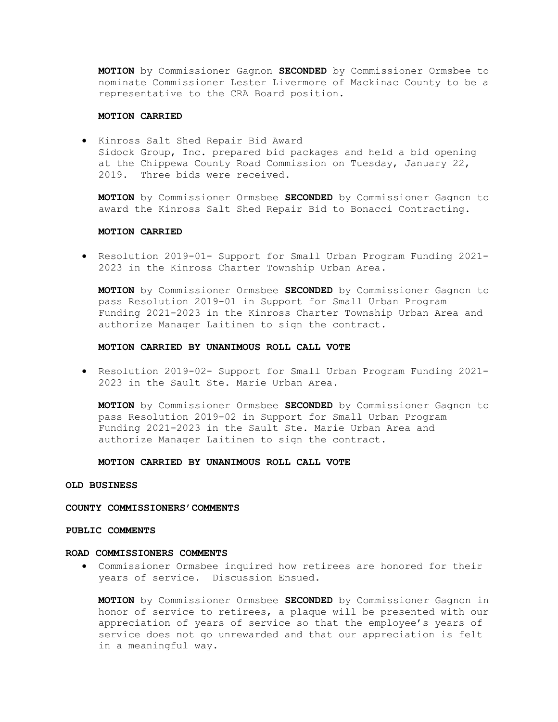MOTION by Commissioner Gagnon SECONDED by Commissioner Ormsbee to nominate Commissioner Lester Livermore of Mackinac County to be a representative to the CRA Board position.

### MOTION CARRIED

 Kinross Salt Shed Repair Bid Award Sidock Group, Inc. prepared bid packages and held a bid opening at the Chippewa County Road Commission on Tuesday, January 22, 2019. Three bids were received.

MOTION by Commissioner Ormsbee SECONDED by Commissioner Gagnon to award the Kinross Salt Shed Repair Bid to Bonacci Contracting.

## MOTION CARRIED

 Resolution 2019-01- Support for Small Urban Program Funding 2021- 2023 in the Kinross Charter Township Urban Area.

MOTION by Commissioner Ormsbee SECONDED by Commissioner Gagnon to pass Resolution 2019-01 in Support for Small Urban Program Funding 2021-2023 in the Kinross Charter Township Urban Area and authorize Manager Laitinen to sign the contract.

## MOTION CARRIED BY UNANIMOUS ROLL CALL VOTE

 Resolution 2019-02- Support for Small Urban Program Funding 2021- 2023 in the Sault Ste. Marie Urban Area.

MOTION by Commissioner Ormsbee SECONDED by Commissioner Gagnon to pass Resolution 2019-02 in Support for Small Urban Program Funding 2021-2023 in the Sault Ste. Marie Urban Area and authorize Manager Laitinen to sign the contract.

MOTION CARRIED BY UNANIMOUS ROLL CALL VOTE

# OLD BUSINESS

#### COUNTY COMMISSIONERS'COMMENTS

## PUBLIC COMMENTS

#### ROAD COMMISSIONERS COMMENTS

 Commissioner Ormsbee inquired how retirees are honored for their years of service. Discussion Ensued.

MOTION by Commissioner Ormsbee SECONDED by Commissioner Gagnon in honor of service to retirees, a plaque will be presented with our appreciation of years of service so that the employee's years of service does not go unrewarded and that our appreciation is felt in a meaningful way.